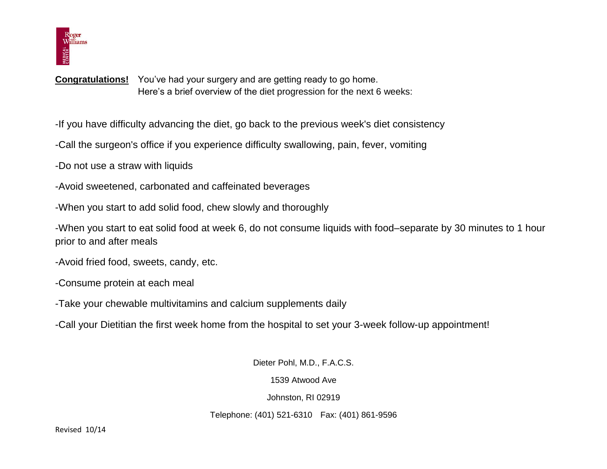

**Congratulations!** You've had your surgery and are getting ready to go home. Here's a brief overview of the diet progression for the next 6 weeks:

-If you have difficulty advancing the diet, go back to the previous week's diet consistency

-Call the surgeon's office if you experience difficulty swallowing, pain, fever, vomiting

-Do not use a straw with liquids

- -Avoid sweetened, carbonated and caffeinated beverages
- -When you start to add solid food, chew slowly and thoroughly

-When you start to eat solid food at week 6, do not consume liquids with food–separate by 30 minutes to 1 hour prior to and after meals

- -Avoid fried food, sweets, candy, etc.
- -Consume protein at each meal
- -Take your chewable multivitamins and calcium supplements daily
- -Call your Dietitian the first week home from the hospital to set your 3-week follow-up appointment!

Dieter Pohl, M.D., F.A.C.S.

1539 Atwood Ave

Johnston, RI 02919

Telephone: (401) 521-6310 Fax: (401) 861-9596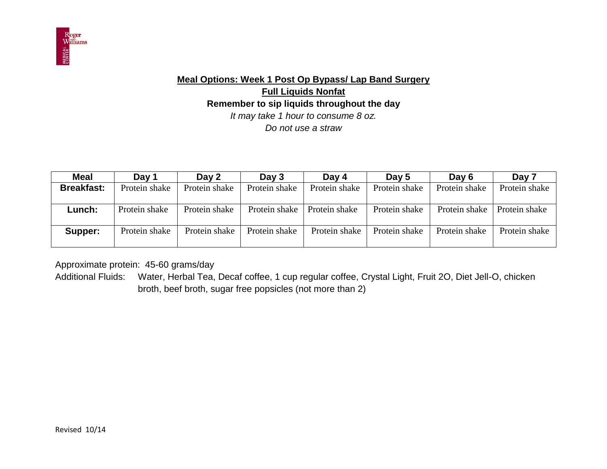

# **Meal Options: Week 1 Post Op Bypass/ Lap Band Surgery Full Liquids Nonfat Remember to sip liquids throughout the day** *It may take 1 hour to consume 8 oz. Do not use a straw*

| <b>Meal</b>       | Day 1         | Day 2         | Day $3$       | Day 4         | Day 5         | Day 6         | Day 7         |
|-------------------|---------------|---------------|---------------|---------------|---------------|---------------|---------------|
| <b>Breakfast:</b> | Protein shake | Protein shake | Protein shake | Protein shake | Protein shake | Protein shake | Protein shake |
|                   |               |               |               |               |               |               |               |
| Lunch:            | Protein shake | Protein shake | Protein shake | Protein shake | Protein shake | Protein shake | Protein shake |
|                   |               |               |               |               |               |               |               |
| Supper:           | Protein shake | Protein shake | Protein shake | Protein shake | Protein shake | Protein shake | Protein shake |
|                   |               |               |               |               |               |               |               |

Approximate protein: 45-60 grams/day

Additional Fluids: Water, Herbal Tea, Decaf coffee, 1 cup regular coffee, Crystal Light, Fruit 2O, Diet Jell-O, chicken broth, beef broth, sugar free popsicles (not more than 2)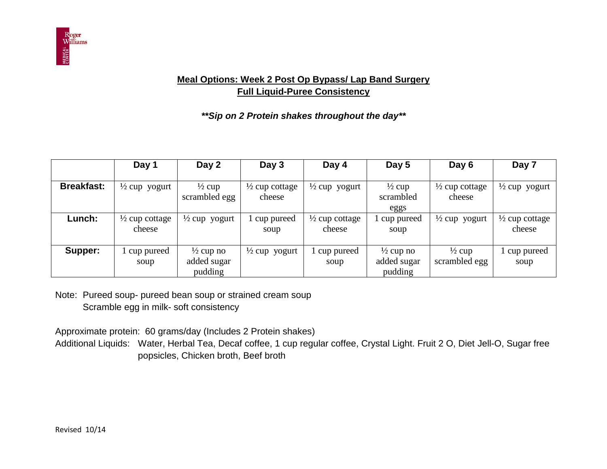

## **Meal Options: Week 2 Post Op Bypass/ Lap Band Surgery Full Liquid-Puree Consistency**

*\*\*Sip on 2 Protein shakes throughout the day\*\**

|                   | Day 1                               | Day 2                                          | Day 3                               | Day 4                               | Day 5                                          | Day 6                               | Day 7                               |
|-------------------|-------------------------------------|------------------------------------------------|-------------------------------------|-------------------------------------|------------------------------------------------|-------------------------------------|-------------------------------------|
| <b>Breakfast:</b> | $\frac{1}{2}$ cup yogurt            | $\frac{1}{2}$ cup<br>scrambled egg             | $\frac{1}{2}$ cup cottage<br>cheese | $\frac{1}{2}$ cup yogurt            | $\frac{1}{2}$ cup<br>scrambled<br>eggs         | $\frac{1}{2}$ cup cottage<br>cheese | $\frac{1}{2}$ cup yogurt            |
| Lunch:            | $\frac{1}{2}$ cup cottage<br>cheese | $\frac{1}{2}$ cup yogurt                       | cup pureed<br>soup                  | $\frac{1}{2}$ cup cottage<br>cheese | cup pureed<br>soup                             | $\frac{1}{2}$ cup yogurt            | $\frac{1}{2}$ cup cottage<br>cheese |
| Supper:           | cup pureed<br>soup                  | $\frac{1}{2}$ cup no<br>added sugar<br>pudding | $\frac{1}{2}$ cup yogurt            | 1 cup pureed<br>soup                | $\frac{1}{2}$ cup no<br>added sugar<br>pudding | $\frac{1}{2}$ cup<br>scrambled egg  | cup pureed<br>soup                  |

Note: Pureed soup- pureed bean soup or strained cream soup Scramble egg in milk- soft consistency

Approximate protein: 60 grams/day (Includes 2 Protein shakes)

Additional Liquids: Water, Herbal Tea, Decaf coffee, 1 cup regular coffee, Crystal Light. Fruit 2 O, Diet Jell-O, Sugar free popsicles, Chicken broth, Beef broth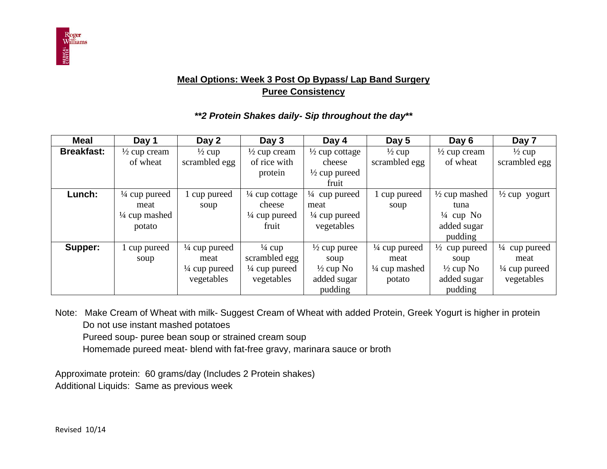

### **Meal Options: Week 3 Post Op Bypass/ Lap Band Surgery Puree Consistency**

#### *\*\*2 Protein Shakes daily- Sip throughout the day***\*\***

| <b>Meal</b>       | Day 1                    | Day 2                    | Day 3                     | Day 4                     | Day 5                    | Day 6                    | Day 7                    |
|-------------------|--------------------------|--------------------------|---------------------------|---------------------------|--------------------------|--------------------------|--------------------------|
| <b>Breakfast:</b> | $\frac{1}{2}$ cup cream  | $\frac{1}{2}$ cup        | $\frac{1}{2}$ cup cream   | $\frac{1}{2}$ cup cottage | $\frac{1}{2}$ cup        | $\frac{1}{2}$ cup cream  | $\frac{1}{2}$ cup        |
|                   | of wheat                 | scrambled egg            | of rice with              | cheese                    | scrambled egg            | of wheat                 | scrambled egg            |
|                   |                          |                          | protein                   | $\frac{1}{2}$ cup pureed  |                          |                          |                          |
|                   |                          |                          |                           | fruit                     |                          |                          |                          |
| Lunch:            | $\frac{1}{4}$ cup pureed | cup pureed               | $\frac{1}{4}$ cup cottage | $\frac{1}{4}$ cup pureed  | 1 cup pureed             | $\frac{1}{2}$ cup mashed | $\frac{1}{2}$ cup yogurt |
|                   | meat                     | soup                     | cheese                    | meat                      | soup                     | tuna                     |                          |
|                   | $\frac{1}{4}$ cup mashed |                          | $\frac{1}{4}$ cup pureed  | $\frac{1}{4}$ cup pureed  |                          | $\frac{1}{4}$ cup No     |                          |
|                   | potato                   |                          | fruit                     | vegetables                |                          | added sugar              |                          |
|                   |                          |                          |                           |                           |                          | pudding                  |                          |
| Supper:           | 1 cup pureed             | $\frac{1}{4}$ cup pureed | $\frac{1}{4}$ cup         | $\frac{1}{2}$ cup puree   | $\frac{1}{4}$ cup pureed | $\frac{1}{2}$ cup pureed | $\frac{1}{4}$ cup pureed |
|                   | soup                     | meat                     | scrambled egg             | soup                      | meat                     | soup                     | meat                     |
|                   |                          | $\frac{1}{4}$ cup pureed | $\frac{1}{4}$ cup pureed  | $\frac{1}{2}$ cup No      | $\frac{1}{4}$ cup mashed | $\frac{1}{2}$ cup No     | $\frac{1}{4}$ cup pureed |
|                   |                          | vegetables               | vegetables                | added sugar               | potato                   | added sugar              | vegetables               |
|                   |                          |                          |                           | pudding                   |                          | pudding                  |                          |

Note: Make Cream of Wheat with milk- Suggest Cream of Wheat with added Protein, Greek Yogurt is higher in protein Do not use instant mashed potatoes

Pureed soup- puree bean soup or strained cream soup

Homemade pureed meat- blend with fat-free gravy, marinara sauce or broth

Approximate protein: 60 grams/day (Includes 2 Protein shakes) Additional Liquids: Same as previous week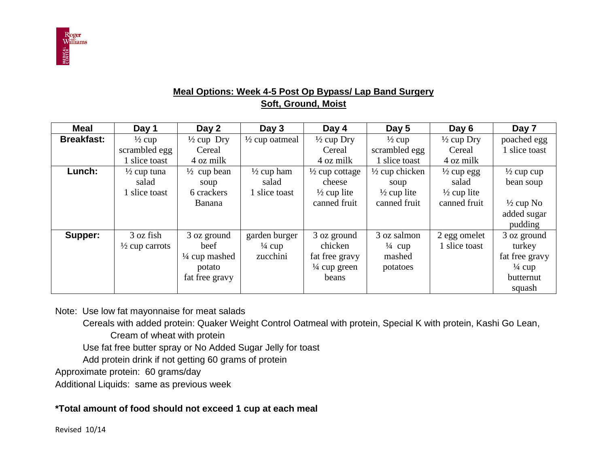

### **Meal Options: Week 4-5 Post Op Bypass/ Lap Band Surgery Soft, Ground, Moist**

| <b>Meal</b>       | Day 1                     | Day 2                    | Day 3                     | Day 4                     | Day 5                     | Day 6                  | Day 7                 |
|-------------------|---------------------------|--------------------------|---------------------------|---------------------------|---------------------------|------------------------|-----------------------|
| <b>Breakfast:</b> | $\frac{1}{2}$ cup         | $\frac{1}{2}$ cup Dry    | $\frac{1}{2}$ cup oatmeal | $\frac{1}{2}$ cup Dry     | $\frac{1}{2}$ cup         | $\frac{1}{2}$ cup Dry  | poached egg           |
|                   | scrambled egg             | Cereal                   |                           | Cereal                    | scrambled egg             | Cereal                 | slice toast           |
|                   | 1 slice toast             | 4 oz milk                |                           | 4 oz milk                 | 1 slice toast             | 4 oz milk              |                       |
| Lunch:            | $\frac{1}{2}$ cup tuna    | $\frac{1}{2}$ cup bean   | $\frac{1}{2}$ cup ham     | $\frac{1}{2}$ cup cottage | $\frac{1}{2}$ cup chicken | $\frac{1}{2}$ cup egg  | $\frac{1}{2}$ cup cup |
|                   | salad                     | soup                     | salad                     | cheese                    | soup                      | salad                  | bean soup             |
|                   | 1 slice toast             | 6 crackers               | l slice toast             | $\frac{1}{2}$ cup lite    | $\frac{1}{2}$ cup lite    | $\frac{1}{2}$ cup lite |                       |
|                   |                           | <b>Banana</b>            |                           | canned fruit              | canned fruit              | canned fruit           | $\frac{1}{2}$ cup No  |
|                   |                           |                          |                           |                           |                           |                        | added sugar           |
|                   |                           |                          |                           |                           |                           |                        | pudding               |
| Supper:           | 3 oz fish                 | 3 oz ground              | garden burger             | 3 oz ground               | 3 oz salmon               | 2 egg omelet           | 3 oz ground           |
|                   | $\frac{1}{2}$ cup carrots | beef                     | $\frac{1}{4}$ cup         | chicken                   | $\frac{1}{4}$ cup         | 1 slice toast          | turkey                |
|                   |                           | $\frac{1}{4}$ cup mashed | zucchini                  | fat free gravy            | mashed                    |                        | fat free gravy        |
|                   |                           | potato                   |                           | $\frac{1}{4}$ cup green   | potatoes                  |                        | $\frac{1}{4}$ cup     |
|                   |                           | fat free gravy           |                           | beans                     |                           |                        | butternut             |
|                   |                           |                          |                           |                           |                           |                        | squash                |

Note: Use low fat mayonnaise for meat salads

Cereals with added protein: Quaker Weight Control Oatmeal with protein, Special K with protein, Kashi Go Lean,

Cream of wheat with protein

Use fat free butter spray or No Added Sugar Jelly for toast

Add protein drink if not getting 60 grams of protein

Approximate protein: 60 grams/day

Additional Liquids: same as previous week

### **\*Total amount of food should not exceed 1 cup at each meal**

Revised 10/14